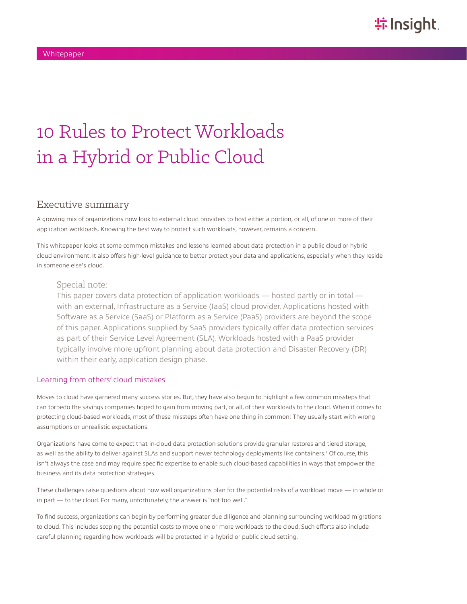# 10 Rules to Protect Workloads in a Hybrid or Public Cloud

## Executive summary

A growing mix of organizations now look to external cloud providers to host either a portion, or all, of one or more of their application workloads. Knowing the best way to protect such workloads, however, remains a concern.

This whitepaper looks at some common mistakes and lessons learned about data protection in a public cloud or hybrid cloud environment. It also offers high-level guidance to better protect your data and applications, especially when they reside in someone else's cloud.

#### Special note:

This paper covers data protection of application workloads — hosted partly or in total with an external, Infrastructure as a Service (IaaS) cloud provider. Applications hosted with Software as a Service (SaaS) or Platform as a Service (PaaS) providers are beyond the scope of this paper. Applications supplied by SaaS providers typically offer data protection services as part of their Service Level Agreement (SLA). Workloads hosted with a PaaS provider typically involve more upfront planning about data protection and Disaster Recovery (DR) within their early, application design phase.

#### Learning from others' cloud mistakes

Moves to cloud have garnered many success stories. But, they have also begun to highlight a few common missteps that can torpedo the savings companies hoped to gain from moving part, or all, of their workloads to the cloud. When it comes to protecting cloud-based workloads, most of these missteps often have one thing in common: They usually start with wrong assumptions or unrealistic expectations.

Organizations have come to expect that in-cloud data protection solutions provide granular restores and tiered storage, as well as the ability to deliver against SLAs and support newer technology deployments like containers.<sup>1</sup> Of course, this isn't always the case and may require specific expertise to enable such cloud-based capabilities in ways that empower the business and its data protection strategies.

These challenges raise questions about how well organizations plan for the potential risks of a workload move — in whole or in part — to the cloud. For many, unfortunately, the answer is "not too well."

To find success, organizations can begin by performing greater due diligence and planning surrounding workload migrations to cloud. This includes scoping the potential costs to move one or more workloads to the cloud. Such efforts also include careful planning regarding how workloads will be protected in a hybrid or public cloud setting.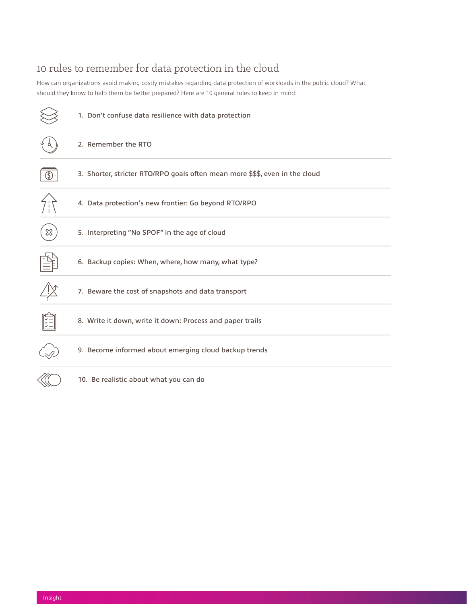# 10 rules to remember for data protection in the cloud

How can organizations avoid making costly mistakes regarding data protection of workloads in the public cloud? What should they know to help them be better prepared? Here are 10 general rules to keep in mind:

|   | 1. Don't confuse data resilience with data protection                        |
|---|------------------------------------------------------------------------------|
|   | 2. Remember the RTO                                                          |
| ᠖ | 3. Shorter, stricter RTO/RPO goals often mean more \$\$\$, even in the cloud |
|   | 4. Data protection's new frontier: Go beyond RTO/RPO                         |
| ╳ | 5. Interpreting "No SPOF" in the age of cloud                                |
|   | 6. Backup copies: When, where, how many, what type?                          |
|   | 7. Beware the cost of snapshots and data transport                           |
|   | 8. Write it down, write it down: Process and paper trails                    |
|   | 9. Become informed about emerging cloud backup trends                        |
|   | 10. Be realistic about what you can do                                       |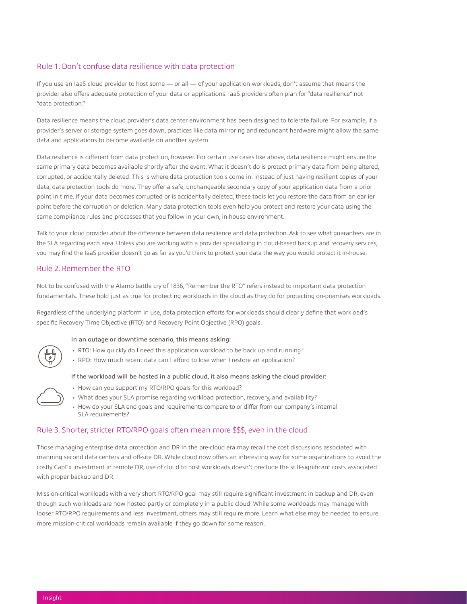#### Rule 1. Don't confuse data resilience with data protection

If you use an IaaS cloud provider to host some — or all — of your application workloads, don't assume that means the provider also offers adequate protection of your data or applications. IaaS providers often plan for "data resilience" not "data protection."

Data resilience means the cloud provider's data center environment has been designed to tolerate failure. For example, if a provider's server or storage system goes down, practices like data mirroring and redundant hardware might allow the same data and applications to become available on another system.

Data resilience is different from data protection, however. For certain use cases like above, data resilience might ensure the same primary data becomes available shortly after the event. What it doesn't do is protect primary data from being altered, corrupted, or accidentally deleted. This is where data protection tools come in. Instead of just having resilient copies of your data, data protection tools do more. They offer a safe, unchangeable secondary copy of your application data from a prior point in time. If your data becomes corrupted or is accidentally deleted, these tools let you restore the data from an earlier point before the corruption or deletion. Many data protection tools even help you protect and restore your data using the same compliance rules and processes that you follow in your own, in-house environment.

Talk to your cloud provider about the difference between data resilience and data protection. Ask to see what guarantees are in the SLA regarding each area. Unless you are working with a provider specializing in cloud-based backup and recovery services, you may find the IaaS provider doesn't go as far as you'd think to protect your data the way you would protect it in-house.

#### Rule 2. Remember the RTO

Not to be confused with the Alamo battle cry of 1836, "Remember the RTO" refers instead to important data protection fundamentals. These hold just as true for protecting workloads in the cloud as they do for protecting on-premises workloads.

Regardless of the underlying platform in use, data protection efforts for workloads should clearly define that workload's specific Recovery Time Objective (RTO) and Recovery Point Objective (RPO) goals.

#### In an outage or downtime scenario, this means asking:

- RTO: How quickly do I need this application workload to be back up and running?
- RPO: How much recent data can I afford to lose when I restore an application?

#### If the workload will be hosted in a public cloud, it also means asking the cloud provider:

- How can you support my RTO/RPO goals for this workload?
- What does your SLA promise regarding workload protection, recovery, and availability?
- How do your SLA end goals and requirements compare to or differ from our company's internal SLA requirements?

#### Rule 3. Shorter, stricter RTO/RPO goals often mean more \$\$\$, even in the cloud

Those managing enterprise data protection and DR in the pre-cloud era may recall the cost discussions associated with manning second data centers and off-site DR. While cloud now offers an interesting way for some organizations to avoid the costly CapEx investment in remote DR, use of cloud to host workloads doesn't preclude the still-significant costs associated with proper backup and DR.

Mission-critical workloads with a very short RTO/RPO goal may still require significant investment in backup and DR, even though such workloads are now hosted partly or completely in a public cloud. While some workloads may manage with looser RTO/RPO requirements and less investment, others may still require more. Learn what else may be needed to ensure more mission-critical workloads remain available if they go down for some reason.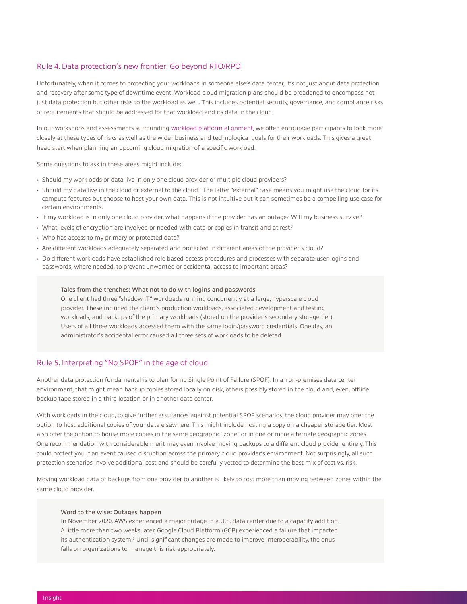#### Rule 4. Data protection's new frontier: Go beyond RTO/RPO

Unfortunately, when it comes to protecting your workloads in someone else's data center, it's not just about data protection and recovery after some type of downtime event. Workload cloud migration plans should be broadened to encompass not just data protection but other risks to the workload as well. This includes potential security, governance, and compliance risks or requirements that should be addressed for that workload and its data in the cloud.

In our workshops and assessments surrounding [workload platform alignment,](https://solutions.insight.com/Solutions/Modern-Infrastructure/Workload-Alignment) we often encourage participants to look more closely at these types of risks as well as the wider business and technological goals for their workloads. This gives a great head start when planning an upcoming cloud migration of a specific workload.

Some questions to ask in these areas might include:

- Should my workloads or data live in only one cloud provider or multiple cloud providers?
- Should my data live in the cloud or external to the cloud? The latter "external" case means you might use the cloud for its compute features but choose to host your own data. This is not intuitive but it can sometimes be a compelling use case for certain environments.
- If my workload is in only one cloud provider, what happens if the provider has an outage? Will my business survive?
- What levels of encryption are involved or needed with data or copies in transit and at rest?
- Who has access to my primary or protected data?
- Are different workloads adequately separated and protected in different areas of the provider's cloud?
- Do different workloads have established role-based access procedures and processes with separate user logins and passwords, where needed, to prevent unwanted or accidental access to important areas?

#### Tales from the trenches: What not to do with logins and passwords

One client had three "shadow IT" workloads running concurrently at a large, hyperscale cloud provider. These included the client's production workloads, associated development and testing workloads, and backups of the primary workloads (stored on the provider's secondary storage tier). Users of all three workloads accessed them with the same login/password credentials. One day, an administrator's accidental error caused all three sets of workloads to be deleted.

#### Rule 5. Interpreting "No SPOF" in the age of cloud

Another data protection fundamental is to plan for no Single Point of Failure (SPOF). In an on-premises data center environment, that might mean backup copies stored locally on disk, others possibly stored in the cloud and, even, offline backup tape stored in a third location or in another data center.

With workloads in the cloud, to give further assurances against potential SPOF scenarios, the cloud provider may offer the option to host additional copies of your data elsewhere. This might include hosting a copy on a cheaper storage tier. Most also offer the option to house more copies in the same geographic "zone" or in one or more alternate geographic zones. One recommendation with considerable merit may even involve moving backups to a different cloud provider entirely. This could protect you if an event caused disruption across the primary cloud provider's environment. Not surprisingly, all such protection scenarios involve additional cost and should be carefully vetted to determine the best mix of cost vs. risk.

Moving workload data or backups from one provider to another is likely to cost more than moving between zones within the same cloud provider.

#### Word to the wise: Outages happen

In November 2020, AWS experienced a major outage in a U.S. data center due to a capacity addition. A little more than two weeks later, Google Cloud Platform (GCP) experienced a failure that impacted its authentication system.<sup>2</sup> Until significant changes are made to improve interoperability, the onus falls on organizations to manage this risk appropriately.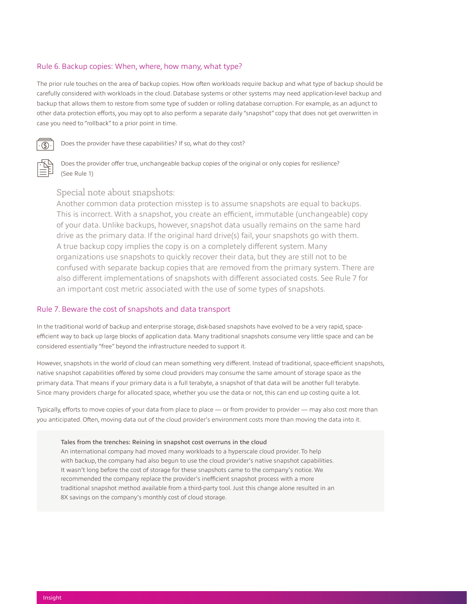#### Rule 6. Backup copies: When, where, how many, what type?

The prior rule touches on the area of backup copies. How often workloads require backup and what type of backup should be carefully considered with workloads in the cloud. Database systems or other systems may need application-level backup and backup that allows them to restore from some type of sudden or rolling database corruption. For example, as an adjunct to other data protection efforts, you may opt to also perform a separate daily "snapshot" copy that does not get overwritten in case you need to "rollback" to a prior point in time.



Does the provider have these capabilities? If so, what do they cost?



Does the provider offer true, unchangeable backup copies of the original or only copies for resilience? (See Rule 1)

### Special note about snapshots:

Another common data protection misstep is to assume snapshots are equal to backups. This is incorrect. With a snapshot, you create an efficient, immutable (unchangeable) copy of your data. Unlike backups, however, snapshot data usually remains on the same hard drive as the primary data. If the original hard drive(s) fail, your snapshots go with them. A true backup copy implies the copy is on a completely different system. Many organizations use snapshots to quickly recover their data, but they are still not to be confused with separate backup copies that are removed from the primary system. There are also different implementations of snapshots with different associated costs. See Rule 7 for an important cost metric associated with the use of some types of snapshots.

#### Rule 7. Beware the cost of snapshots and data transport

In the traditional world of backup and enterprise storage, disk-based snapshots have evolved to be a very rapid, spaceefficient way to back up large blocks of application data. Many traditional snapshots consume very little space and can be considered essentially "free" beyond the infrastructure needed to support it.

However, snapshots in the world of cloud can mean something very different. Instead of traditional, space-efficient snapshots, native snapshot capabilities offered by some cloud providers may consume the same amount of storage space as the primary data. That means if your primary data is a full terabyte, a snapshot of that data will be another full terabyte. Since many providers charge for allocated space, whether you use the data or not, this can end up costing quite a lot.

Typically, efforts to move copies of your data from place to place — or from provider to provider — may also cost more than you anticipated. Often, moving data out of the cloud provider's environment costs more than moving the data into it.

#### Tales from the trenches: Reining in snapshot cost overruns in the cloud

An international company had moved many workloads to a hyperscale cloud provider. To help with backup, the company had also begun to use the cloud provider's native snapshot capabilities. It wasn't long before the cost of storage for these snapshots came to the company's notice. We recommended the company replace the provider's inefficient snapshot process with a more traditional snapshot method available from a third-party tool. Just this change alone resulted in an 8X savings on the company's monthly cost of cloud storage.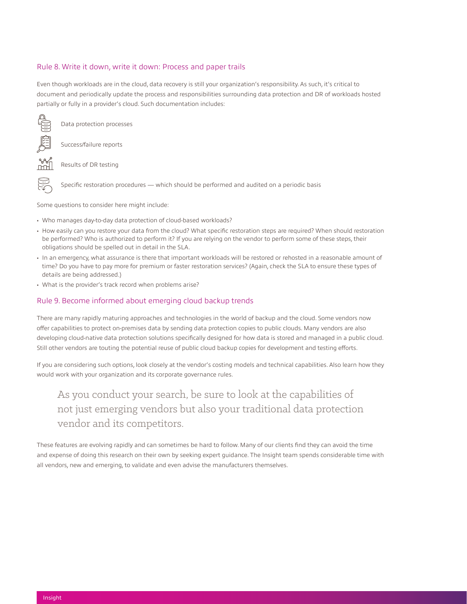#### Rule 8. Write it down, write it down: Process and paper trails

Even though workloads are in the cloud, data recovery is still your organization's responsibility. As such, it's critical to document and periodically update the process and responsibilities surrounding data protection and DR of workloads hosted partially or fully in a provider's cloud. Such documentation includes:



Data protection processes

Success/failure reports



E

Results of DR testing

Specific restoration procedures — which should be performed and audited on a periodic basis

Some questions to consider here might include:

- Who manages day-to-day data protection of cloud-based workloads?
- How easily can you restore your data from the cloud? What specific restoration steps are required? When should restoration be performed? Who is authorized to perform it? If you are relying on the vendor to perform some of these steps, their obligations should be spelled out in detail in the SLA.
- In an emergency, what assurance is there that important workloads will be restored or rehosted in a reasonable amount of time? Do you have to pay more for premium or faster restoration services? (Again, check the SLA to ensure these types of details are being addressed.)
- What is the provider's track record when problems arise?

#### Rule 9. Become informed about emerging cloud backup trends

There are many rapidly maturing approaches and technologies in the world of backup and the cloud. Some vendors now offer capabilities to protect on-premises data by sending data protection copies to public clouds. Many vendors are also developing cloud-native data protection solutions specifically designed for how data is stored and managed in a public cloud. Still other vendors are touting the potential reuse of public cloud backup copies for development and testing efforts.

If you are considering such options, look closely at the vendor's costing models and technical capabilities. Also learn how they would work with your organization and its corporate governance rules.

## As you conduct your search, be sure to look at the capabilities of not just emerging vendors but also your traditional data protection vendor and its competitors.

These features are evolving rapidly and can sometimes be hard to follow. Many of our clients find they can avoid the time and expense of doing this research on their own by seeking expert guidance. The Insight team spends considerable time with all vendors, new and emerging, to validate and even advise the manufacturers themselves.